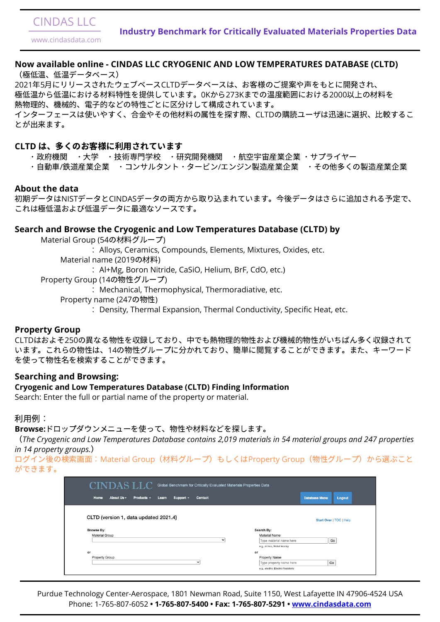#### **Now available online - CINDAS LLC CRYOGENIC AND LOW TEMPERATURES DATABASE (CLTD)**

(極低温、低温データベース) 2021年5月にリリースされたウェブベースCLTDデータベースは、お客様のご提案や声をもとに開発され、 極低温から低温における材料特性を提供しています。0Kから273Kまでの温度範囲における2000以上の材料を 熱物理的、機械的、電子的などの特性ごとに区分けして構成されています。 インターフェースは使いやすく、合金やその他材料の属性を探す際、CLTDの購読ユーザは迅速に選択、比較するこ とが来ます。

#### CLTD は、多くのお客様に利用されています

- ・政府機関 ・大学 ・技術専門学校 ・研究開発機関 ・航空宇宙産業企業 ・サプライヤー
- ・自動車/鉄道産業企業 ・コンサルタント・タービン/エンジン製造産業企業 ・その他多くの製造産業企業

#### **About the data**

初期データはNISTデータとCINDASデータの両方から取り込まれています。今後データはさらに追加される予定で、 これは極低温および低温データに最適なソースです。

CLTDはおよそ250の異なる物性を収録しており、中でも熱物理的物性および機械的物性がいちばん多く収録されて います。これらの物性は、14の物性グループにかれており、簡単に閲することができます。また、キーワード を使って物性を索することができます。

#### **Search and Browse the Cryogenic and Low Temperatures Database (CLTD) by**

Material Group (54の材料グループ)

: Alloys, Ceramics, Compounds, Elements, Mixtures, Oxides, etc.

Material name (2019の材料)

: Al+Mg, Boron Nitride, CaSiO, Helium, BrF, CdO, etc.)

Property Group (14の物性グループ)

: Mechanical, Thermophysical, Thermoradiative, etc.

Property name (247の物性)

ログイン後の検索画面: Material Group(材料グループ)もしくはProperty Group(物性グループ)から選ぶこと ができます。

| Home<br>About Us -<br>Products $\sim$<br>Support -<br>Learn<br><b>Contact</b> | <b>Database Menu</b><br><b>Logout</b> |
|-------------------------------------------------------------------------------|---------------------------------------|
|                                                                               |                                       |
| CLTD (version 1, data updated 2021.4)                                         | Start Over   TOC   Help               |
| <b>Browse By:</b>                                                             | Search By:                            |
| Material Group                                                                | Material Name                         |
| $\check{~}$                                                                   | Go<br>Type material name here         |
|                                                                               | e.g., ni inco, Nickel Incoloy         |
| or                                                                            | or                                    |
| Property Group                                                                | Property Name                         |
| v                                                                             | Go<br>Type property name here         |
|                                                                               |                                       |

:Density, Thermal Expansion, Thermal Conductivity, Specific Heat, etc.

#### **Property Group**

# CINDAS LLC

www.cindasdata.com

Purdue Technology Center-Aerospace, 1801 Newman Road, Suite 1150, West Lafayette IN 47906-4524 USA Phone: 1-765-807-6052 **• 1-765-807-5400 • Fax: 1-765-807-5291 • [www.cindasdata.com](https://cindasdata.com/)**

#### **Searching and Browsing:**

#### **Cryogenic and Low Temperatures Database (CLTD) Finding Information**

Search: Enter the full or partial name of the property or material.

#### 利用例:

#### Browse:ドロップダウンメニューを使って、物性や材料などを探します。

(*The Cryogenic and Low Temperatures Database contains 2,019 materials in 54 material groups and 247 properties in 14 property groups.*)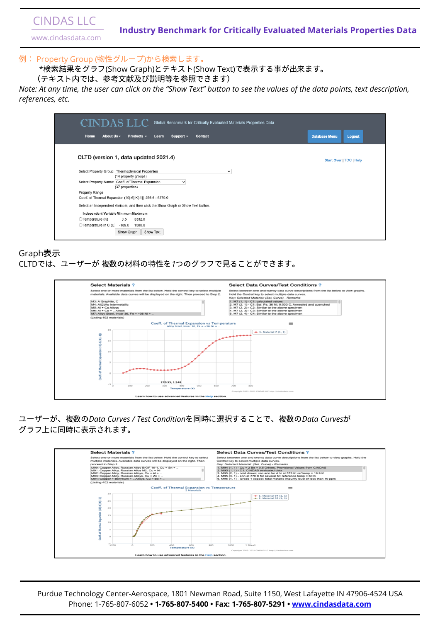*Note: At any time, the user can click on the "Show Text" button to see the values of the data points, text description, references, etc.*

| CINDAS LLC<br>Global Benchmark for Critically Evaluated Materials Properties Data  |                                       |
|------------------------------------------------------------------------------------|---------------------------------------|
| Home<br>About Us -<br>Products -<br>Support $\sim$<br><b>Contact</b><br>Learn      | <b>Database Menu</b><br><b>Logout</b> |
| CLTD (version 1, data updated 2021.4)                                              | Start Over   TOC   Help               |
| Select Property Group: Thermophysical Properties<br>$\checkmark$                   |                                       |
| (14 property groups)                                                               |                                       |
| Select Property Name: Coeff. of Thermal Expansion<br>$\check{ }$                   |                                       |
| (37 properties)                                                                    |                                       |
| Property Range                                                                     |                                       |
| Coeff. of Thermal Expansion (10[-6] K[-1])-256.6 - 6270.0                          |                                       |
| Select an Independent Variable, and then click the Show Graph or Show Text button. |                                       |
| Independent Variable Minimum Maximum                                               |                                       |
| 0.5<br>3332.0<br>◯ Temperature (K)                                                 |                                       |
| ◯ Temperature in C (C)<br>$-189.0$<br>1500.0                                       |                                       |
| Show Graph<br>Show Text                                                            |                                       |

# Graph表示 CLTDでは、ユーザーが複数の材料の特性を1つのグラフで見ることができます。

| <b>Select Materials ?</b>                                                                                                                                                             | <b>Select Data Curves/Test Conditions?</b>                                                                                                                                                                                                                            |
|---------------------------------------------------------------------------------------------------------------------------------------------------------------------------------------|-----------------------------------------------------------------------------------------------------------------------------------------------------------------------------------------------------------------------------------------------------------------------|
| Select one or more materials from the list below. Hold the control key to select multiple<br>materials. Available data curves will be displayed on the right. Then proceed to Step 2. | Select between one and twenty data curve descriptions from the list below to view graphs.<br>Hold the Control key to select multiple data curves.<br>Key: Selected Material: (Set, Curve) - Remarks                                                                   |
| M3: A Graphite, C<br>M4: AI(2)Au Intermetallic<br>$MS: AI + Cu Alloys$<br>$M6: Al + Cu + $ Alloys<br>M7: Alloy Steel, Invar 36, Fe + ~36 Ni +                                         | 1. M7 (1, 1) - C1: calculated values<br>2. M7 (2, 1) - C1: Bal. Fe, 36 Ni, 0.003 C, Annealed and quenched<br>3. M7 (2, 2) - C2: Similar to the above specimen<br>4. M7 (2, 3) - C3: Similar to the above specimen<br>5. M7 (2, 4) - C4: Similar to the above specimen |
| (Listing 402 materials)                                                                                                                                                               |                                                                                                                                                                                                                                                                       |
| Coeff. of Thermal Expansion vs Temperature<br>Alloy Steel, Invar 36, Fe + -36 Ni +                                                                                                    | ≡                                                                                                                                                                                                                                                                     |



ユーザーが、の*Data Curves / Test Condition*を同時に択することで、の*Data Curves*が グラフ上に同時に⽰されます。



# CINDAS LLC

www.cindasdata.com

## 例: Property Group (物性グループ)から検索します。

\*検索結果をグラフ(Show Graph)とテキスト(Show Text)で表示する事が出来ます。

(テキスト内では、参考文献及び説明等を参照できます)

## **Industry Benchmark for Critically Evaluated Materials Properties Data**

Purdue Technology Center-Aerospace, 1801 Newman Road, Suite 1150, West Lafayette IN 47906-4524 USA Phone: 1-765-807-6052 **• 1-765-807-5400 • Fax: 1-765-807-5291 • [www.cindasdata.com](https://cindasdata.com/)**